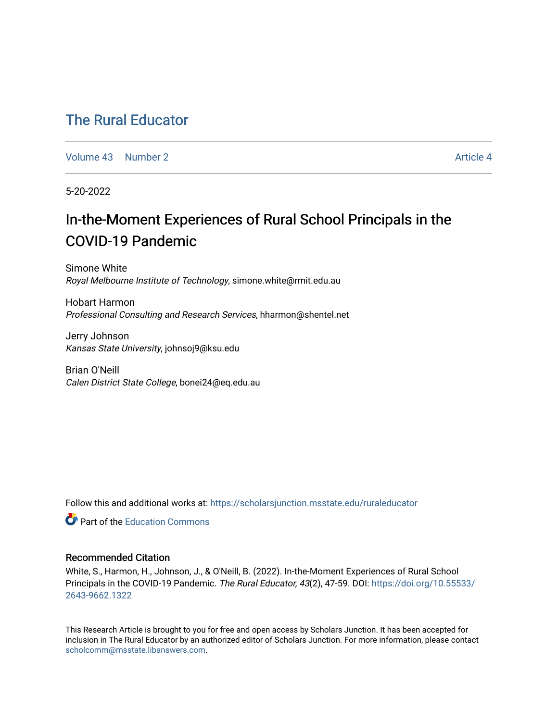# [The Rural Educator](https://scholarsjunction.msstate.edu/ruraleducator)

[Volume 43](https://scholarsjunction.msstate.edu/ruraleducator/vol43) [Number 2](https://scholarsjunction.msstate.edu/ruraleducator/vol43/iss2) [Article 4](https://scholarsjunction.msstate.edu/ruraleducator/vol43/iss2/4) Article 4

5-20-2022

# In-the-Moment Experiences of Rural School Principals in the COVID-19 Pandemic

Simone White Royal Melbourne Institute of Technology, simone.white@rmit.edu.au

Hobart Harmon Professional Consulting and Research Services, hharmon@shentel.net

Jerry Johnson Kansas State University, johnsoj9@ksu.edu

Brian O'Neill Calen District State College, bonei24@eq.edu.au

Follow this and additional works at: [https://scholarsjunction.msstate.edu/ruraleducator](https://scholarsjunction.msstate.edu/ruraleducator?utm_source=scholarsjunction.msstate.edu%2Fruraleducator%2Fvol43%2Fiss2%2F4&utm_medium=PDF&utm_campaign=PDFCoverPages)

**C** Part of the [Education Commons](https://network.bepress.com/hgg/discipline/784?utm_source=scholarsjunction.msstate.edu%2Fruraleducator%2Fvol43%2Fiss2%2F4&utm_medium=PDF&utm_campaign=PDFCoverPages)

# Recommended Citation

White, S., Harmon, H., Johnson, J., & O'Neill, B. (2022). In-the-Moment Experiences of Rural School Principals in the COVID-19 Pandemic. The Rural Educator, 43(2), 47-59. DOI: [https://doi.org/10.55533/](https://doi.org/10.55533/2643-9662.1322) [2643-9662.1322](https://doi.org/10.55533/2643-9662.1322) 

This Research Article is brought to you for free and open access by Scholars Junction. It has been accepted for inclusion in The Rural Educator by an authorized editor of Scholars Junction. For more information, please contact [scholcomm@msstate.libanswers.com.](mailto:scholcomm@msstate.libanswers.com)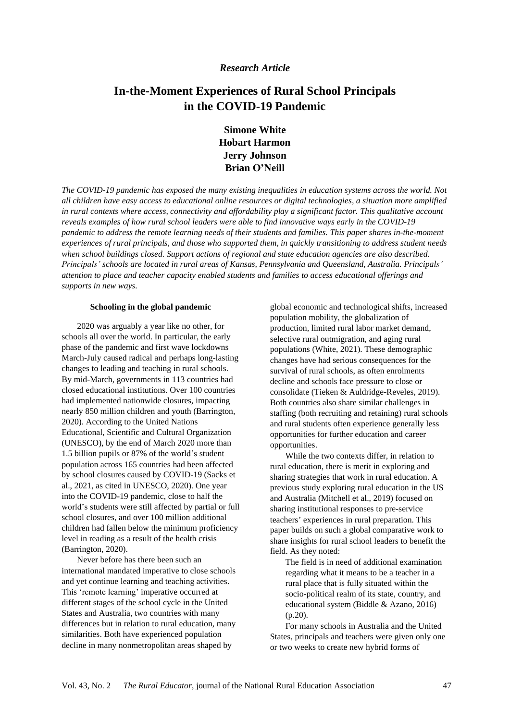# *Research Article*

# **In-the-Moment Experiences of Rural School Principals in the COVID-19 Pandemic**

**Simone White Hobart Harmon Jerry Johnson Brian O'Neill**

*The COVID-19 pandemic has exposed the many existing inequalities in education systems across the world. Not* all children have easy access to educational online resources or digital technologies, a situation more amplified *in rural contexts where access, connectivity and affordability play a significant factor. This qualitative account reveals examples of how rural school leaders were able to find innovative ways early in the COVID-19 pandemic to address the remote learning needs of their students and families. This paper shares in-the-moment experiences of rural principals, and those who supported them, in quickly transitioning to address student needs when school buildings closed. Support actions of regional and state education agencies are also described. Principals' schools are located in rural areas of Kansas, Pennsylvania and Queensland, Australia. Principals' attention to place and teacher capacity enabled students and families to access educational offerings and supports in new ways.*

#### **Schooling in the global pandemic**

2020 was arguably a year like no other, for schools all over the world. In particular, the early phase of the pandemic and first wave lockdowns March-July caused radical and perhaps long-lasting changes to leading and teaching in rural schools. By mid-March, governments in 113 countries had closed educational institutions. Over 100 countries had implemented nationwide closures, impacting nearly 850 million children and youth (Barrington, 2020). According to the United Nations Educational, Scientific and Cultural Organization (UNESCO), by the end of March 2020 more than 1.5 billion pupils or 87% of the world's student population across 165 countries had been affected by school closures caused by COVID-19 (Sacks et al., 2021, as cited in UNESCO, 2020). One year into the COVID-19 pandemic, close to half the world's students were still affected by partial or full school closures, and over 100 million additional children had fallen below the minimum proficiency level in reading as a result of the health crisis (Barrington, 2020).

Never before has there been such an international mandated imperative to close schools and yet continue learning and teaching activities. This 'remote learning' imperative occurred at different stages of the school cycle in the United States and Australia, two countries with many differences but in relation to rural education, many similarities. Both have experienced population decline in many nonmetropolitan areas shaped by

global economic and technological shifts, increased population mobility, the globalization of production, limited rural labor market demand, selective rural outmigration, and aging rural populations (White, 2021). These demographic changes have had serious consequences for the survival of rural schools, as often enrolments decline and schools face pressure to close or consolidate (Tieken & Auldridge-Reveles, 2019). Both countries also share similar challenges in staffing (both recruiting and retaining) rural schools and rural students often experience generally less opportunities for further education and career opportunities.

While the two contexts differ, in relation to rural education, there is merit in exploring and sharing strategies that work in rural education. A previous study exploring rural education in the US and Australia (Mitchell et al., 2019) focused on sharing institutional responses to pre-service teachers' experiences in rural preparation. This paper builds on such a global comparative work to share insights for rural school leaders to benefit the field. As they noted:

The field is in need of additional examination regarding what it means to be a teacher in a rural place that is fully situated within the socio-political realm of its state, country, and educational system (Biddle & Azano, 2016) (p.20).

For many schools in Australia and the United States, principals and teachers were given only one or two weeks to create new hybrid forms of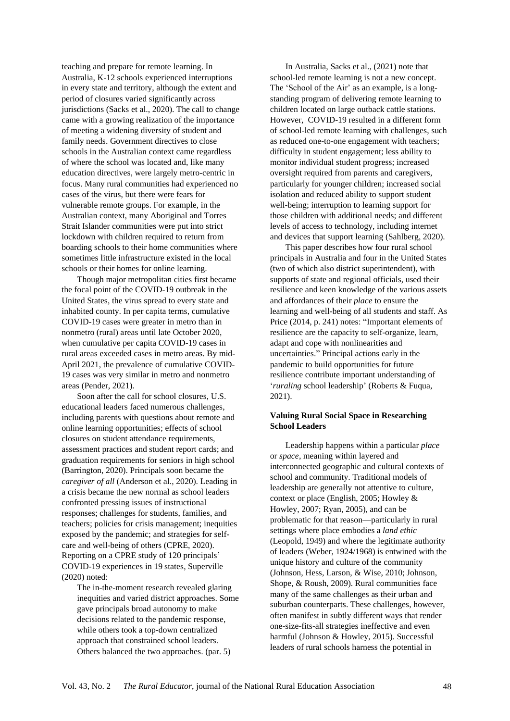teaching and prepare for remote learning. In Australia, K-12 schools experienced interruptions in every state and territory, although the extent and period of closures varied significantly across jurisdictions (Sacks et al., 2020). The call to change came with a growing realization of the importance of meeting a widening diversity of student and family needs. Government directives to close schools in the Australian context came regardless of where the school was located and, like many education directives, were largely metro-centric in focus. Many rural communities had experienced no cases of the virus, but there were fears for vulnerable remote groups. For example, in the Australian context, many Aboriginal and Torres Strait Islander communities were put into strict lockdown with children required to return from boarding schools to their home communities where sometimes little infrastructure existed in the local schools or their homes for online learning.

Though major metropolitan cities first became the focal point of the COVID-19 outbreak in the United States, the virus spread to every state and inhabited county. In per capita terms, cumulative COVID-19 cases were greater in metro than in nonmetro (rural) areas until late October 2020, when cumulative per capita COVID-19 cases in rural areas exceeded cases in metro areas. By mid-April 2021, the prevalence of cumulative COVID-19 cases was very similar in metro and nonmetro areas (Pender, 2021).

Soon after the call for school closures, U.S. educational leaders faced numerous challenges, including parents with questions about remote and online learning opportunities; effects of school closures on student attendance requirements, assessment practices and student report cards; and graduation requirements for seniors in high school (Barrington, 2020). Principals soon became the *caregiver of all* (Anderson et al., 2020). Leading in a crisis became the new normal as school leaders confronted pressing issues of instructional responses; challenges for students, families, and teachers; policies for crisis management; inequities exposed by the pandemic; and strategies for selfcare and well-being of others (CPRE, 2020). Reporting on a CPRE study of 120 principals' COVID-19 experiences in 19 states, Superville (2020) noted:

The in-the-moment research revealed glaring inequities and varied district approaches. Some gave principals broad autonomy to make decisions related to the pandemic response, while others took a top-down centralized approach that constrained school leaders. Others balanced the two approaches. (par. 5)

In Australia, Sacks et al., (2021) note that school-led remote learning is not a new concept. The 'School of the Air' as an example, is a longstanding program of delivering remote learning to children located on large outback cattle stations. However, COVID-19 resulted in a different form of school-led remote learning with challenges, such as reduced one-to-one engagement with teachers; difficulty in student engagement; less ability to monitor individual student progress; increased oversight required from parents and caregivers, particularly for younger children; increased social isolation and reduced ability to support student well-being; interruption to learning support for those children with additional needs; and different levels of access to technology, including internet and devices that support learning (Sahlberg, 2020).

This paper describes how four rural school principals in Australia and four in the United States (two of which also district superintendent), with supports of state and regional officials, used their resilience and keen knowledge of the various assets and affordances of their *place* to ensure the learning and well-being of all students and staff. As Price (2014, p. 241) notes: "Important elements of resilience are the capacity to self-organize, learn, adapt and cope with nonlinearities and uncertainties." Principal actions early in the pandemic to build opportunities for future resilience contribute important understanding of '*ruraling* school leadership' (Roberts & Fuqua, 2021).

## **Valuing Rural Social Space in Researching School Leaders**

Leadership happens within a particular *place* or *space*, meaning within layered and interconnected geographic and cultural contexts of school and community. Traditional models of leadership are generally not attentive to culture, context or place (English, 2005; Howley & Howley, 2007; Ryan, 2005), and can be problematic for that reason—particularly in rural settings where place embodies a *land ethic* (Leopold, 1949) and where the legitimate authority of leaders (Weber, 1924/1968) is entwined with the unique history and culture of the community (Johnson, Hess, Larson, & Wise, 2010; Johnson, Shope, & Roush, 2009). Rural communities face many of the same challenges as their urban and suburban counterparts. These challenges, however, often manifest in subtly different ways that render one-size-fits-all strategies ineffective and even harmful (Johnson & Howley, 2015). Successful leaders of rural schools harness the potential in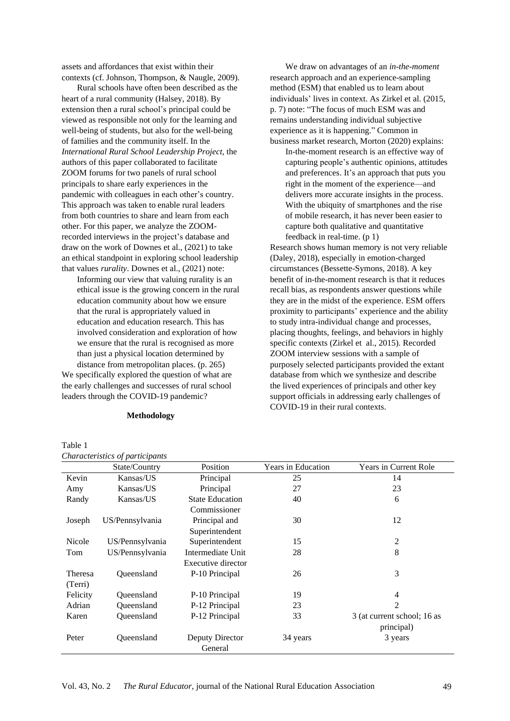assets and affordances that exist within their contexts (cf. Johnson, Thompson, & Naugle, 2009).

Rural schools have often been described as the heart of a rural community (Halsey, 2018). By extension then a rural school's principal could be viewed as responsible not only for the learning and well-being of students, but also for the well-being of families and the community itself. In the *International Rural School Leadership Project*, the authors of this paper collaborated to facilitate ZOOM forums for two panels of rural school principals to share early experiences in the pandemic with colleagues in each other's country. This approach was taken to enable rural leaders from both countries to share and learn from each other. For this paper, we analyze the ZOOMrecorded interviews in the project's database and draw on the work of Downes et al., (2021) to take an ethical standpoint in exploring school leadership that values *rurality*. Downes et al., (2021) note:

Informing our view that valuing rurality is an ethical issue is the growing concern in the rural education community about how we ensure that the rural is appropriately valued in education and education research. This has involved consideration and exploration of how we ensure that the rural is recognised as more than just a physical location determined by

distance from metropolitan places. (p. 265) We specifically explored the question of what are the early challenges and successes of rural school leaders through the COVID-19 pandemic?

### **Methodology**

We draw on advantages of an *in-the-moment* research approach and an experience-sampling method (ESM) that enabled us to learn about individuals' lives in context. As Zirkel et al. (2015, p. 7) note: "The focus of much ESM was and remains understanding individual subjective experience as it is happening." Common in business market research, Morton (2020) explains:

In-the-moment research is an effective way of capturing people's authentic opinions, attitudes and preferences. It's an approach that puts you right in the moment of the experience—and delivers more accurate insights in the process. With the ubiquity of smartphones and the rise of mobile research, it has never been easier to capture both qualitative and quantitative feedback in real-time. (p 1)

Research shows human memory is not very reliable (Daley, 2018), especially in emotion-charged circumstances (Bessette-Symons, 2018). A key benefit of in-the-moment research is that it reduces recall bias, as respondents answer questions while they are in the midst of the experience. ESM offers proximity to participants' experience and the ability to study intra-individual change and processes, placing thoughts, feelings, and behaviors in highly specific contexts (Zirkel et al., 2015). Recorded ZOOM interview sessions with a sample of purposely selected participants provided the extant database from which we synthesize and describe the lived experiences of principals and other key support officials in addressing early challenges of COVID-19 in their rural contexts.

|          | State/Country   | Position               | Years in Education | <b>Years in Current Role</b> |
|----------|-----------------|------------------------|--------------------|------------------------------|
| Kevin    | Kansas/US       | Principal              | 25                 | 14                           |
| Amy      | Kansas/US       | Principal              | 27                 | 23                           |
| Randy    | Kansas/US       | <b>State Education</b> | 40                 | 6                            |
|          |                 | Commissioner           |                    |                              |
| Joseph   | US/Pennsylvania | Principal and          | 30                 | 12                           |
|          |                 | Superintendent         |                    |                              |
| Nicole   | US/Pennsylvania | Superintendent         | 15                 | $\overline{2}$               |
| Tom      | US/Pennsylvania | Intermediate Unit      | 28                 | 8                            |
|          |                 | Executive director     |                    |                              |
| Theresa  | Oueensland      | P-10 Principal         | 26                 | 3                            |
| (Terri)  |                 |                        |                    |                              |
| Felicity | Oueensland      | P-10 Principal         | 19                 | 4                            |
| Adrian   | Queensland      | P-12 Principal         | 23                 | $\overline{2}$               |
| Karen    | Queensland      | P-12 Principal         | 33                 | 3 (at current school; 16 as  |
|          |                 |                        |                    | principal)                   |
| Peter    | Queensland      | Deputy Director        | 34 years           | 3 years                      |
|          |                 | General                |                    |                              |

# Table 1

*Characteristics of participants*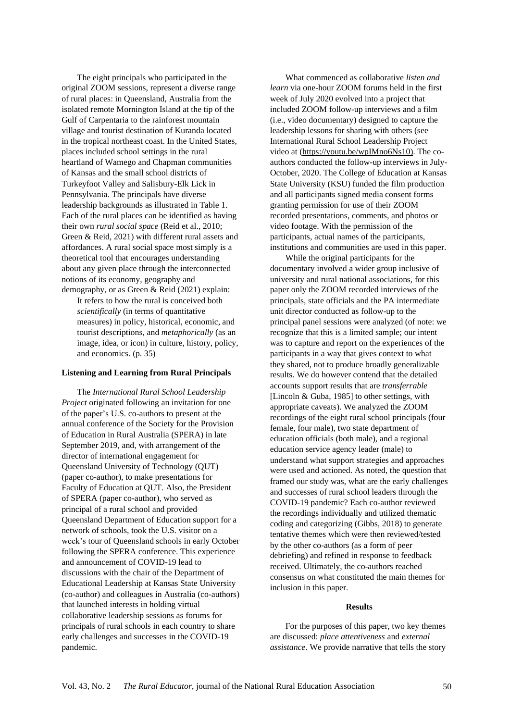The eight principals who participated in the original ZOOM sessions, represent a diverse range of rural places: in Queensland, Australia from the isolated remote Mornington Island at the tip of the Gulf of Carpentaria to the rainforest mountain village and tourist destination of Kuranda located in the tropical northeast coast. In the United States, places included school settings in the rural heartland of Wamego and Chapman communities of Kansas and the small school districts of Turkeyfoot Valley and Salisbury-Elk Lick in Pennsylvania. The principals have diverse leadership backgrounds as illustrated in Table 1. Each of the rural places can be identified as having their own *rural social space* (Reid et al., 2010; Green & Reid, 2021) with different rural assets and affordances. A rural social space most simply is a theoretical tool that encourages understanding about any given place through the interconnected notions of its economy, geography and demography, or as Green & Reid (2021) explain:

It refers to how the rural is conceived both *scientifically* (in terms of quantitative measures) in policy, historical, economic, and tourist descriptions, and *metaphorically* (as an image, idea, or icon) in culture, history, policy, and economics. (p. 35)

## **Listening and Learning from Rural Principals**

The *International Rural School Leadership Project* originated following an invitation for one of the paper's U.S. co-authors to present at the annual conference of the Society for the Provision of Education in Rural Australia (SPERA) in late September 2019, and, with arrangement of the director of international engagement for Queensland University of Technology (QUT) (paper co-author), to make presentations for Faculty of Education at QUT. Also, the President of SPERA (paper co-author), who served as principal of a rural school and provided Queensland Department of Education support for a network of schools, took the U.S. visitor on a week's tour of Queensland schools in early October following the SPERA conference. This experience and announcement of COVID-19 lead to discussions with the chair of the Department of Educational Leadership at Kansas State University (co-author) and colleagues in Australia (co-authors) that launched interests in holding virtual collaborative leadership sessions as forums for principals of rural schools in each country to share early challenges and successes in the COVID-19 pandemic.

What commenced as collaborative *listen and learn* via one-hour ZOOM forums held in the first week of July 2020 evolved into a project that included ZOOM follow-up interviews and a film (i.e., video documentary) designed to capture the leadership lessons for sharing with others (see International Rural School Leadership Project video at [\(https://youtu.be/wpIMno6Ns10\)](https://youtu.be/wpIMno6Ns10). The coauthors conducted the follow-up interviews in July-October, 2020. The College of Education at Kansas State University (KSU) funded the film production and all participants signed media consent forms granting permission for use of their ZOOM recorded presentations, comments, and photos or video footage. With the permission of the participants, actual names of the participants, institutions and communities are used in this paper.

While the original participants for the documentary involved a wider group inclusive of university and rural national associations, for this paper only the ZOOM recorded interviews of the principals, state officials and the PA intermediate unit director conducted as follow-up to the principal panel sessions were analyzed (of note: we recognize that this is a limited sample; our intent was to capture and report on the experiences of the participants in a way that gives context to what they shared, not to produce broadly generalizable results. We do however contend that the detailed accounts support results that are *transferrable* [Lincoln & Guba, 1985] to other settings, with appropriate caveats). We analyzed the ZOOM recordings of the eight rural school principals (four female, four male), two state department of education officials (both male), and a regional education service agency leader (male) to understand what support strategies and approaches were used and actioned. As noted, the question that framed our study was, what are the early challenges and successes of rural school leaders through the COVID-19 pandemic? Each co-author reviewed the recordings individually and utilized thematic coding and categorizing (Gibbs, 2018) to generate tentative themes which were then reviewed/tested by the other co-authors (as a form of peer debriefing) and refined in response to feedback received. Ultimately, the co-authors reached consensus on what constituted the main themes for inclusion in this paper.

#### **Results**

For the purposes of this paper, two key themes are discussed: *place attentiveness* and *external assistance*. We provide narrative that tells the story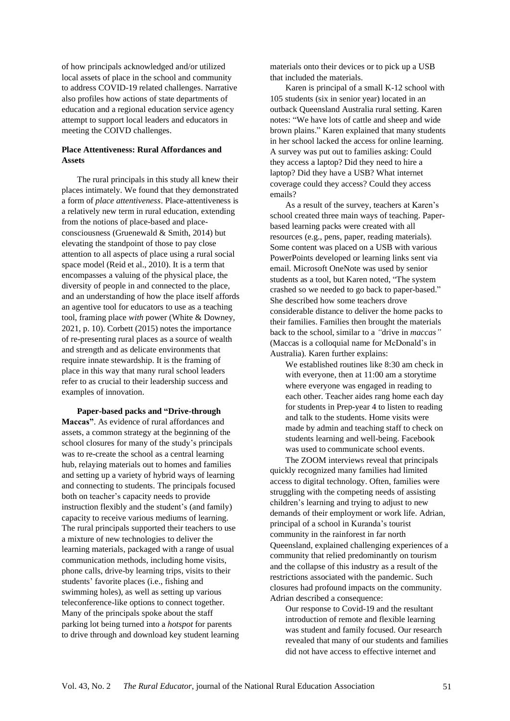of how principals acknowledged and/or utilized local assets of place in the school and community to address COVID-19 related challenges. Narrative also profiles how actions of state departments of education and a regional education service agency attempt to support local leaders and educators in meeting the COIVD challenges.

# **Place Attentiveness: Rural Affordances and Assets**

The rural principals in this study all knew their places intimately. We found that they demonstrated a form of *place attentiveness*. Place-attentiveness is a relatively new term in rural education, extending from the notions of place-based and placeconsciousness (Gruenewald & Smith, 2014) but elevating the standpoint of those to pay close attention to all aspects of place using a rural social space model (Reid et al., 2010). It is a term that encompasses a valuing of the physical place, the diversity of people in and connected to the place, and an understanding of how the place itself affords an agentive tool for educators to use as a teaching tool, framing place *with* power (White & Downey, 2021, p. 10). Corbett (2015) notes the importance of re-presenting rural places as a source of wealth and strength and as delicate environments that require innate stewardship. It is the framing of place in this way that many rural school leaders refer to as crucial to their leadership success and examples of innovation.

**Paper-based packs and "Drive-through Maccas"**. As evidence of rural affordances and assets, a common strategy at the beginning of the school closures for many of the study's principals was to re-create the school as a central learning hub, relaying materials out to homes and families and setting up a variety of hybrid ways of learning and connecting to students. The principals focused both on teacher's capacity needs to provide instruction flexibly and the student's (and family) capacity to receive various mediums of learning. The rural principals supported their teachers to use a mixture of new technologies to deliver the learning materials, packaged with a range of usual communication methods, including home visits, phone calls, drive-by learning trips, visits to their students' favorite places (i.e., fishing and swimming holes), as well as setting up various teleconference-like options to connect together. Many of the principals spoke about the staff parking lot being turned into a *hotspot* for parents to drive through and download key student learning materials onto their devices or to pick up a USB that included the materials.

Karen is principal of a small K-12 school with 105 students (six in senior year) located in an outback Queensland Australia rural setting. Karen notes: "We have lots of cattle and sheep and wide brown plains." Karen explained that many students in her school lacked the access for online learning. A survey was put out to families asking: Could they access a laptop? Did they need to hire a laptop? Did they have a USB? What internet coverage could they access? Could they access emails?

As a result of the survey, teachers at Karen's school created three main ways of teaching. Paperbased learning packs were created with all resources (e.g., pens, paper, reading materials). Some content was placed on a USB with various PowerPoints developed or learning links sent via email. Microsoft OneNote was used by senior students as a tool, but Karen noted, "The system crashed so we needed to go back to paper-based." She described how some teachers drove considerable distance to deliver the home packs to their families. Families then brought the materials back to the school, similar to a *"*drive in *maccas"* (Maccas is a colloquial name for McDonald's in Australia)*.* Karen further explains:

We established routines like 8:30 am check in with everyone, then at 11:00 am a storytime where everyone was engaged in reading to each other. Teacher aides rang home each day for students in Prep-year 4 to listen to reading and talk to the students. Home visits were made by admin and teaching staff to check on students learning and well-being. Facebook was used to communicate school events.

The ZOOM interviews reveal that principals quickly recognized many families had limited access to digital technology. Often, families were struggling with the competing needs of assisting children's learning and trying to adjust to new demands of their employment or work life. Adrian, principal of a school in Kuranda's tourist community in the rainforest in far north Queensland, explained challenging experiences of a community that relied predominantly on tourism and the collapse of this industry as a result of the restrictions associated with the pandemic. Such closures had profound impacts on the community. Adrian described a consequence:

Our response to Covid-19 and the resultant introduction of remote and flexible learning was student and family focused. Our research revealed that many of our students and families did not have access to effective internet and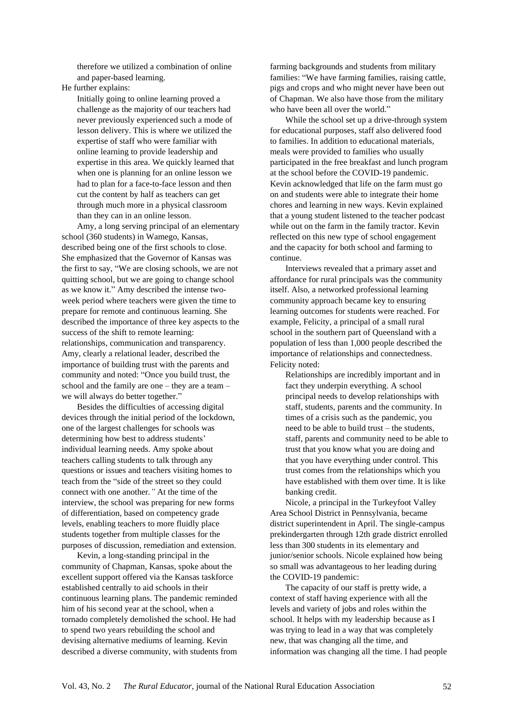therefore we utilized a combination of online and paper-based learning.

He further explains:

Initially going to online learning proved a challenge as the majority of our teachers had never previously experienced such a mode of lesson delivery. This is where we utilized the expertise of staff who were familiar with online learning to provide leadership and expertise in this area. We quickly learned that when one is planning for an online lesson we had to plan for a face-to-face lesson and then cut the content by half as teachers can get through much more in a physical classroom than they can in an online lesson.

Amy, a long serving principal of an elementary school (360 students) in Wamego, Kansas, described being one of the first schools to close. She emphasized that the Governor of Kansas was the first to say, "We are closing schools, we are not quitting school, but we are going to change school as we know it." Amy described the intense twoweek period where teachers were given the time to prepare for remote and continuous learning. She described the importance of three key aspects to the success of the shift to remote learning: relationships, communication and transparency. Amy, clearly a relational leader, described the importance of building trust with the parents and community and noted: "Once you build trust, the school and the family are one – they are a team – we will always do better together."

Besides the difficulties of accessing digital devices through the initial period of the lockdown, one of the largest challenges for schools was determining how best to address students' individual learning needs. Amy spoke about teachers calling students to talk through any questions or issues and teachers visiting homes to teach from the "side of the street so they could connect with one another*."* At the time of the interview, the school was preparing for new forms of differentiation, based on competency grade levels, enabling teachers to more fluidly place students together from multiple classes for the purposes of discussion, remediation and extension.

Kevin, a long-standing principal in the community of Chapman, Kansas, spoke about the excellent support offered via the Kansas taskforce established centrally to aid schools in their continuous learning plans. The pandemic reminded him of his second year at the school, when a tornado completely demolished the school. He had to spend two years rebuilding the school and devising alternative mediums of learning. Kevin described a diverse community, with students from farming backgrounds and students from military families: "We have farming families, raising cattle, pigs and crops and who might never have been out of Chapman. We also have those from the military who have been all over the world."

While the school set up a drive-through system for educational purposes, staff also delivered food to families. In addition to educational materials, meals were provided to families who usually participated in the free breakfast and lunch program at the school before the COVID-19 pandemic. Kevin acknowledged that life on the farm must go on and students were able to integrate their home chores and learning in new ways. Kevin explained that a young student listened to the teacher podcast while out on the farm in the family tractor. Kevin reflected on this new type of school engagement and the capacity for both school and farming to continue.

Interviews revealed that a primary asset and affordance for rural principals was the community itself. Also, a networked professional learning community approach became key to ensuring learning outcomes for students were reached. For example, Felicity, a principal of a small rural school in the southern part of Queensland with a population of less than 1,000 people described the importance of relationships and connectedness. Felicity noted:

Relationships are incredibly important and in fact they underpin everything. A school principal needs to develop relationships with staff, students, parents and the community. In times of a crisis such as the pandemic, you need to be able to build trust – the students, staff, parents and community need to be able to trust that you know what you are doing and that you have everything under control. This trust comes from the relationships which you have established with them over time. It is like banking credit.

Nicole, a principal in the Turkeyfoot Valley Area School District in Pennsylvania, became district superintendent in April. The single-campus prekindergarten through 12th grade district enrolled less than 300 students in its elementary and junior/senior schools. Nicole explained how being so small was advantageous to her leading during the COVID-19 pandemic:

The capacity of our staff is pretty wide, a context of staff having experience with all the levels and variety of jobs and roles within the school. It helps with my leadership because as I was trying to lead in a way that was completely new, that was changing all the time, and information was changing all the time. I had people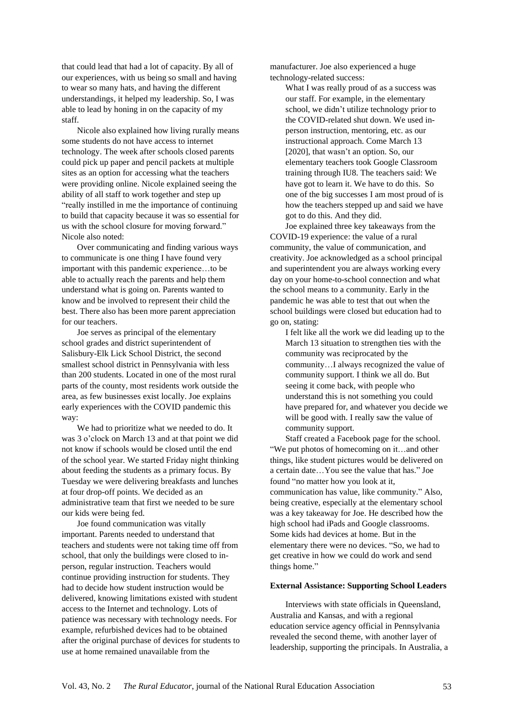that could lead that had a lot of capacity. By all of our experiences, with us being so small and having to wear so many hats, and having the different understandings, it helped my leadership. So, I was able to lead by honing in on the capacity of my staff.

Nicole also explained how living rurally means some students do not have access to internet technology. The week after schools closed parents could pick up paper and pencil packets at multiple sites as an option for accessing what the teachers were providing online. Nicole explained seeing the ability of all staff to work together and step up "really instilled in me the importance of continuing to build that capacity because it was so essential for us with the school closure for moving forward." Nicole also noted:

Over communicating and finding various ways to communicate is one thing I have found very important with this pandemic experience…to be able to actually reach the parents and help them understand what is going on. Parents wanted to know and be involved to represent their child the best. There also has been more parent appreciation for our teachers.

Joe serves as principal of the elementary school grades and district superintendent of Salisbury-Elk Lick School District, the second smallest school district in Pennsylvania with less than 200 students. Located in one of the most rural parts of the county, most residents work outside the area, as few businesses exist locally. Joe explains early experiences with the COVID pandemic this way:

We had to prioritize what we needed to do. It was 3 o'clock on March 13 and at that point we did not know if schools would be closed until the end of the school year. We started Friday night thinking about feeding the students as a primary focus. By Tuesday we were delivering breakfasts and lunches at four drop-off points. We decided as an administrative team that first we needed to be sure our kids were being fed.

Joe found communication was vitally important. Parents needed to understand that teachers and students were not taking time off from school, that only the buildings were closed to inperson, regular instruction. Teachers would continue providing instruction for students. They had to decide how student instruction would be delivered, knowing limitations existed with student access to the Internet and technology. Lots of patience was necessary with technology needs. For example, refurbished devices had to be obtained after the original purchase of devices for students to use at home remained unavailable from the

manufacturer. Joe also experienced a huge technology-related success:

What I was really proud of as a success was our staff. For example, in the elementary school, we didn't utilize technology prior to the COVID-related shut down. We used inperson instruction, mentoring, etc. as our instructional approach. Come March 13 [2020], that wasn't an option. So, our elementary teachers took Google Classroom training through IU8. The teachers said: We have got to learn it. We have to do this. So one of the big successes I am most proud of is how the teachers stepped up and said we have got to do this. And they did.

Joe explained three key takeaways from the COVID-19 experience: the value of a rural community, the value of communication, and creativity. Joe acknowledged as a school principal and superintendent you are always working every day on your home-to-school connection and what the school means to a community. Early in the pandemic he was able to test that out when the school buildings were closed but education had to go on, stating:

I felt like all the work we did leading up to the March 13 situation to strengthen ties with the community was reciprocated by the community…I always recognized the value of community support. I think we all do. But seeing it come back, with people who understand this is not something you could have prepared for, and whatever you decide we will be good with. I really saw the value of community support.

Staff created a Facebook page for the school. "We put photos of homecoming on it…and other things, like student pictures would be delivered on a certain date…You see the value that has." Joe found "no matter how you look at it, communication has value, like community." Also, being creative, especially at the elementary school was a key takeaway for Joe. He described how the high school had iPads and Google classrooms. Some kids had devices at home. But in the elementary there were no devices. "So, we had to get creative in how we could do work and send things home."

#### **External Assistance: Supporting School Leaders**

Interviews with state officials in Queensland, Australia and Kansas, and with a regional education service agency official in Pennsylvania revealed the second theme, with another layer of leadership, supporting the principals. In Australia, a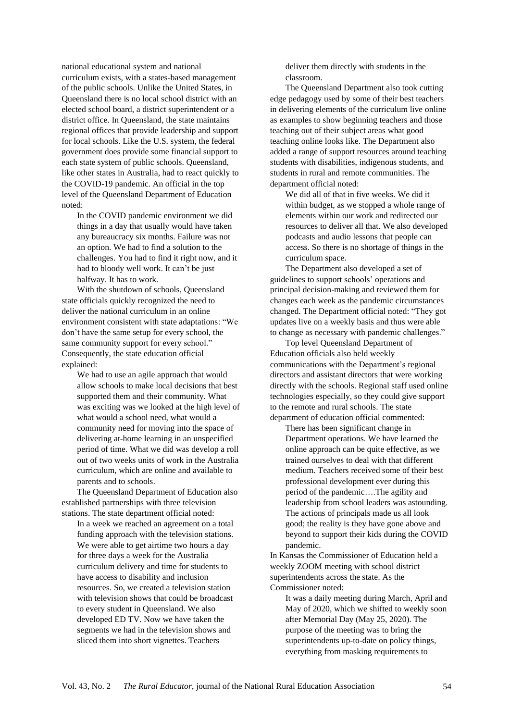national educational system and national curriculum exists, with a states-based management of the public schools. Unlike the United States, in Queensland there is no local school district with an elected school board, a district superintendent or a district office. In Queensland, the state maintains regional offices that provide leadership and support for local schools. Like the U.S. system, the federal government does provide some financial support to each state system of public schools. Queensland, like other states in Australia, had to react quickly to the COVID-19 pandemic. An official in the top level of the Queensland Department of Education noted:

In the COVID pandemic environment we did things in a day that usually would have taken any bureaucracy six months. Failure was not an option. We had to find a solution to the challenges. You had to find it right now, and it had to bloody well work. It can't be just halfway. It has to work.

With the shutdown of schools, Queensland state officials quickly recognized the need to deliver the national curriculum in an online environment consistent with state adaptations: "We don't have the same setup for every school, the same community support for every school." Consequently, the state education official explained:

We had to use an agile approach that would allow schools to make local decisions that best supported them and their community. What was exciting was we looked at the high level of what would a school need, what would a community need for moving into the space of delivering at-home learning in an unspecified period of time. What we did was develop a roll out of two weeks units of work in the Australia curriculum, which are online and available to parents and to schools.

The Queensland Department of Education also established partnerships with three television stations. The state department official noted:

In a week we reached an agreement on a total funding approach with the television stations. We were able to get airtime two hours a day for three days a week for the Australia curriculum delivery and time for students to have access to disability and inclusion resources. So, we created a television station with television shows that could be broadcast to every student in Queensland. We also developed ED TV. Now we have taken the segments we had in the television shows and sliced them into short vignettes. Teachers

deliver them directly with students in the classroom.

The Queensland Department also took cutting edge pedagogy used by some of their best teachers in delivering elements of the curriculum live online as examples to show beginning teachers and those teaching out of their subject areas what good teaching online looks like. The Department also added a range of support resources around teaching students with disabilities, indigenous students, and students in rural and remote communities. The department official noted:

We did all of that in five weeks. We did it within budget, as we stopped a whole range of elements within our work and redirected our resources to deliver all that. We also developed podcasts and audio lessons that people can access. So there is no shortage of things in the curriculum space.

The Department also developed a set of guidelines to support schools' operations and principal decision-making and reviewed them for changes each week as the pandemic circumstances changed. The Department official noted: "They got updates live on a weekly basis and thus were able to change as necessary with pandemic challenges."

Top level Queensland Department of Education officials also held weekly communications with the Department's regional directors and assistant directors that were working directly with the schools. Regional staff used online technologies especially, so they could give support to the remote and rural schools. The state department of education official commented:

There has been significant change in Department operations. We have learned the online approach can be quite effective, as we trained ourselves to deal with that different medium. Teachers received some of their best professional development ever during this period of the pandemic….The agility and leadership from school leaders was astounding. The actions of principals made us all look good; the reality is they have gone above and beyond to support their kids during the COVID pandemic.

In Kansas the Commissioner of Education held a weekly ZOOM meeting with school district superintendents across the state. As the Commissioner noted:

It was a daily meeting during March, April and May of 2020, which we shifted to weekly soon after Memorial Day (May 25, 2020). The purpose of the meeting was to bring the superintendents up-to-date on policy things, everything from masking requirements to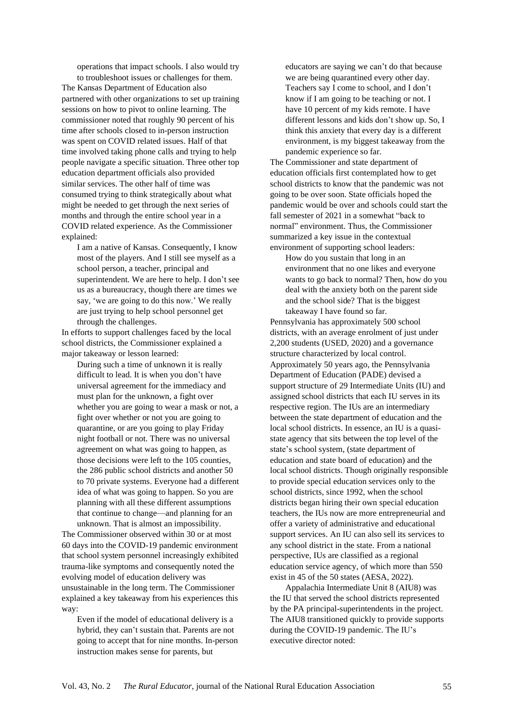operations that impact schools. I also would try to troubleshoot issues or challenges for them.

The Kansas Department of Education also partnered with other organizations to set up training sessions on how to pivot to online learning. The commissioner noted that roughly 90 percent of his time after schools closed to in-person instruction was spent on COVID related issues. Half of that time involved taking phone calls and trying to help people navigate a specific situation. Three other top education department officials also provided similar services. The other half of time was consumed trying to think strategically about what might be needed to get through the next series of months and through the entire school year in a COVID related experience. As the Commissioner explained:

I am a native of Kansas. Consequently, I know most of the players. And I still see myself as a school person, a teacher, principal and superintendent. We are here to help. I don't see us as a bureaucracy, though there are times we say, 'we are going to do this now.' We really are just trying to help school personnel get through the challenges.

In efforts to support challenges faced by the local school districts, the Commissioner explained a major takeaway or lesson learned:

During such a time of unknown it is really difficult to lead. It is when you don't have universal agreement for the immediacy and must plan for the unknown, a fight over whether you are going to wear a mask or not, a fight over whether or not you are going to quarantine, or are you going to play Friday night football or not. There was no universal agreement on what was going to happen, as those decisions were left to the 105 counties, the 286 public school districts and another 50 to 70 private systems. Everyone had a different idea of what was going to happen. So you are planning with all these different assumptions that continue to change—and planning for an unknown. That is almost an impossibility.

The Commissioner observed within 30 or at most 60 days into the COVID-19 pandemic environment that school system personnel increasingly exhibited trauma-like symptoms and consequently noted the evolving model of education delivery was unsustainable in the long term. The Commissioner explained a key takeaway from his experiences this way:

Even if the model of educational delivery is a hybrid, they can't sustain that. Parents are not going to accept that for nine months. In-person instruction makes sense for parents, but

educators are saying we can't do that because we are being quarantined every other day. Teachers say I come to school, and I don't know if I am going to be teaching or not. I have 10 percent of my kids remote. I have different lessons and kids don't show up. So, I think this anxiety that every day is a different environment, is my biggest takeaway from the pandemic experience so far.

The Commissioner and state department of education officials first contemplated how to get school districts to know that the pandemic was not going to be over soon. State officials hoped the pandemic would be over and schools could start the fall semester of 2021 in a somewhat "back to normal" environment. Thus, the Commissioner summarized a key issue in the contextual environment of supporting school leaders:

How do you sustain that long in an environment that no one likes and everyone wants to go back to normal? Then, how do you deal with the anxiety both on the parent side and the school side? That is the biggest takeaway I have found so far.

Pennsylvania has approximately 500 school districts, with an average enrolment of just under 2,200 students (USED, 2020) and a governance structure characterized by local control. Approximately 50 years ago, the Pennsylvania Department of Education (PADE) devised a support structure of 29 Intermediate Units (IU) and assigned school districts that each IU serves in its respective region. The IUs are an intermediary between the state department of education and the local school districts. In essence, an IU is a quasistate agency that sits between the top level of the state's school system, (state department of education and state board of education) and the local school districts. Though originally responsible to provide special education services only to the school districts, since 1992, when the school districts began hiring their own special education teachers, the IUs now are more entrepreneurial and offer a variety of administrative and educational support services. An IU can also sell its services to any school district in the state. From a national perspective, IUs are classified as a regional education service agency, of which more than 550 exist in 45 of the 50 states (AESA, 2022).

Appalachia Intermediate Unit 8 (AIU8) was the IU that served the school districts represented by the PA principal-superintendents in the project. The AIU8 transitioned quickly to provide supports during the COVID-19 pandemic. The IU's executive director noted: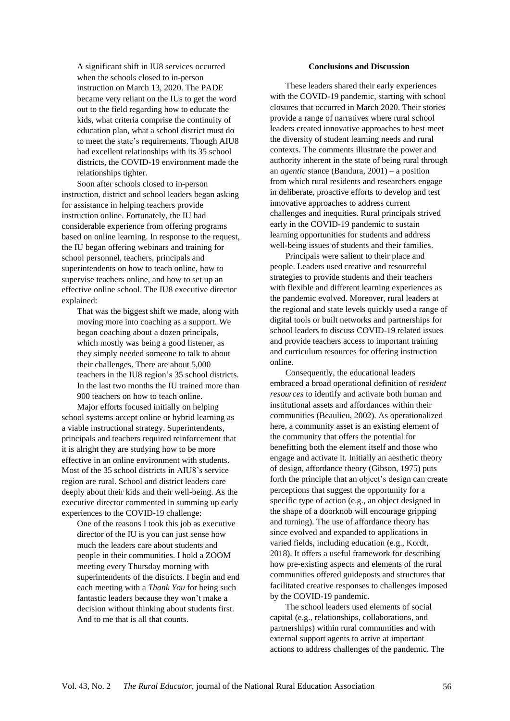A significant shift in IU8 services occurred when the schools closed to in-person instruction on March 13, 2020. The PADE became very reliant on the IUs to get the word out to the field regarding how to educate the kids, what criteria comprise the continuity of education plan, what a school district must do to meet the state's requirements. Though AIU8 had excellent relationships with its 35 school districts, the COVID-19 environment made the relationships tighter.

Soon after schools closed to in-person instruction, district and school leaders began asking for assistance in helping teachers provide instruction online. Fortunately, the IU had considerable experience from offering programs based on online learning. In response to the request, the IU began offering webinars and training for school personnel, teachers, principals and superintendents on how to teach online, how to supervise teachers online, and how to set up an effective online school. The IU8 executive director explained:

That was the biggest shift we made, along with moving more into coaching as a support. We began coaching about a dozen principals, which mostly was being a good listener, as they simply needed someone to talk to about their challenges. There are about 5,000 teachers in the IU8 region's 35 school districts. In the last two months the IU trained more than 900 teachers on how to teach online.

Major efforts focused initially on helping school systems accept online or hybrid learning as a viable instructional strategy. Superintendents, principals and teachers required reinforcement that it is alright they are studying how to be more effective in an online environment with students. Most of the 35 school districts in AIU8's service region are rural. School and district leaders care deeply about their kids and their well-being. As the executive director commented in summing up early experiences to the COVID-19 challenge:

One of the reasons I took this job as executive director of the IU is you can just sense how much the leaders care about students and people in their communities. I hold a ZOOM meeting every Thursday morning with superintendents of the districts. I begin and end each meeting with a *Thank You* for being such fantastic leaders because they won't make a decision without thinking about students first. And to me that is all that counts.

#### **Conclusions and Discussion**

These leaders shared their early experiences with the COVID-19 pandemic, starting with school closures that occurred in March 2020. Their stories provide a range of narratives where rural school leaders created innovative approaches to best meet the diversity of student learning needs and rural contexts. The comments illustrate the power and authority inherent in the state of being rural through an *agentic* stance (Bandura, 2001) – a position from which rural residents and researchers engage in deliberate, proactive efforts to develop and test innovative approaches to address current challenges and inequities. Rural principals strived early in the COVID-19 pandemic to sustain learning opportunities for students and address well-being issues of students and their families.

Principals were salient to their place and people. Leaders used creative and resourceful strategies to provide students and their teachers with flexible and different learning experiences as the pandemic evolved. Moreover, rural leaders at the regional and state levels quickly used a range of digital tools or built networks and partnerships for school leaders to discuss COVID-19 related issues and provide teachers access to important training and curriculum resources for offering instruction online.

Consequently, the educational leaders embraced a broad operational definition of *resident resources* to identify and activate both human and institutional assets and affordances within their communities (Beaulieu, 2002). As operationalized here, a community asset is an existing element of the community that offers the potential for benefitting both the element itself and those who engage and activate it. Initially an aesthetic theory of design, affordance theory (Gibson, 1975) puts forth the principle that an object's design can create perceptions that suggest the opportunity for a specific type of action (e.g., an object designed in the shape of a doorknob will encourage gripping and turning). The use of affordance theory has since evolved and expanded to applications in varied fields, including education (e.g., Kordt, 2018). It offers a useful framework for describing how pre-existing aspects and elements of the rural communities offered guideposts and structures that facilitated creative responses to challenges imposed by the COVID-19 pandemic.

The school leaders used elements of social capital (e.g., relationships, collaborations, and partnerships) within rural communities and with external support agents to arrive at important actions to address challenges of the pandemic. The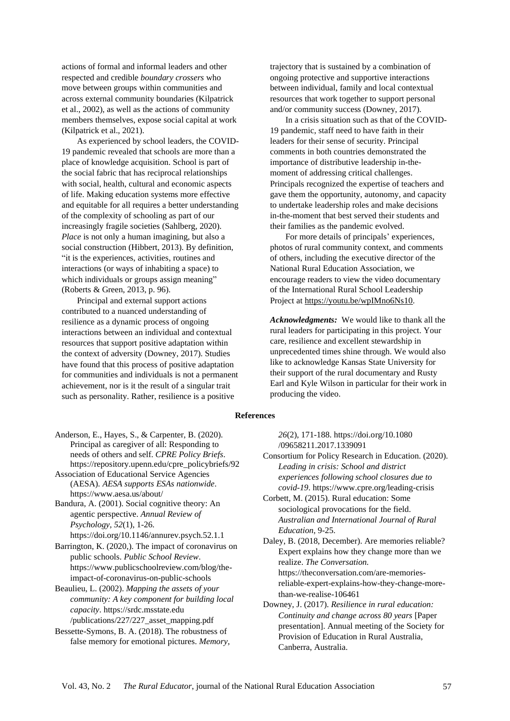actions of formal and informal leaders and other respected and credible *boundary crossers* who move between groups within communities and across external community boundaries (Kilpatrick et al., 2002), as well as the actions of community members themselves, expose social capital at work (Kilpatrick et al., 2021).

As experienced by school leaders, the COVID-19 pandemic revealed that schools are more than a place of knowledge acquisition. School is part of the social fabric that has reciprocal relationships with social, health, cultural and economic aspects of life. Making education systems more effective and equitable for all requires a better understanding of the complexity of schooling as part of our increasingly fragile societies (Sahlberg, 2020). *Place* is not only a human imagining, but also a social construction (Hibbert, 2013). By definition, "it is the experiences, activities, routines and interactions (or ways of inhabiting a space) to which individuals or groups assign meaning" (Roberts & Green, 2013, p. 96).

Principal and external support actions contributed to a nuanced understanding of resilience as a dynamic process of ongoing interactions between an individual and contextual resources that support positive adaptation within the context of adversity (Downey, 2017). Studies have found that this process of positive adaptation for communities and individuals is not a permanent achievement, nor is it the result of a singular trait such as personality. Rather, resilience is a positive

trajectory that is sustained by a combination of ongoing protective and supportive interactions between individual, family and local contextual resources that work together to support personal and/or community success (Downey, 2017).

In a crisis situation such as that of the COVID-19 pandemic, staff need to have faith in their leaders for their sense of security. Principal comments in both countries demonstrated the importance of distributive leadership in-themoment of addressing critical challenges. Principals recognized the expertise of teachers and gave them the opportunity, autonomy, and capacity to undertake leadership roles and make decisions in-the-moment that best served their students and their families as the pandemic evolved.

For more details of principals' experiences, photos of rural community context, and comments of others, including the executive director of the National Rural Education Association, we encourage readers to view the video documentary of the International Rural School Leadership Project at [https://youtu.be/wpIMno6Ns10.](https://youtu.be/wpIMno6Ns10)

*Acknowledgments:*We would like to thank all the rural leaders for participating in this project. Your care, resilience and excellent stewardship in unprecedented times shine through. We would also like to acknowledge Kansas State University for their support of the rural documentary and Rusty Earl and Kyle Wilson in particular for their work in producing the video.

#### **References**

*26*(2), 171-188. [https://doi.org/10.1080](https://doi.org/10.1080/09658211.2017.1339091) [/09658211.2017.1339091](https://doi.org/10.1080/09658211.2017.1339091)

Consortium for Policy Research in Education. (2020). *Leading in crisis: School and district experiences following school closures due to covid-19*. <https://www.cpre.org/leading-crisis>

Corbett, M. (2015). Rural education: Some sociological provocations for the field. *Australian and International Journal of Rural Education*, 9-25.

Daley, B. (2018, December). Are memories reliable? Expert explains how they change more than we realize. *The Conversation.* [https://theconversation.com/are-memories](https://theconversation.com/are-memories-reliable-expert-explains-how-they-change-more-than-we-realise-106461)[reliable-expert-explains-how-they-change-more](https://theconversation.com/are-memories-reliable-expert-explains-how-they-change-more-than-we-realise-106461)[than-we-realise-106461](https://theconversation.com/are-memories-reliable-expert-explains-how-they-change-more-than-we-realise-106461)

Downey, J. (2017). *Resilience in rural education: Continuity and change across 80 years* [Paper presentation]. Annual meeting of the Society for Provision of Education in Rural Australia, Canberra, Australia.

Anderson, E., Hayes, S., & Carpenter, B. (2020). Principal as caregiver of all: Responding to needs of others and self. *CPRE Policy Briefs*. [https://repository.upenn.edu/cpre\\_policybriefs/92](https://repository.upenn.edu/cpre_policybriefs/92)

Association of Educational Service Agencies (AESA). *AESA supports ESAs nationwide*. <https://www.aesa.us/about/>

Bandura, A. (2001). Social cognitive theory: An agentic perspective. *Annual Review of Psychology, 52*(1), 1-26. <https://doi.org/10.1146/annurev.psych.52.1.1>

Barrington, K. (2020,). The impact of coronavirus on public schools. *Public School Review*. [https://www.publicschoolreview.com/blog/the](https://www.publicschoolreview.com/blog/the-impact-of-coronavirus-on-public-schools)[impact-of-coronavirus-on-public-schools](https://www.publicschoolreview.com/blog/the-impact-of-coronavirus-on-public-schools)

Beaulieu, L. (2002). *Mapping the assets of your community: A key component for building local capacity*. [https://srdc.msstate.edu](https://srdc.msstate.edu/publications/227/227_asset_mapping.pdf) [/publications/227/227\\_asset\\_mapping.pdf](https://srdc.msstate.edu/publications/227/227_asset_mapping.pdf)

Bessette-Symons, B. A. (2018). The robustness of false memory for emotional pictures. *Memory,*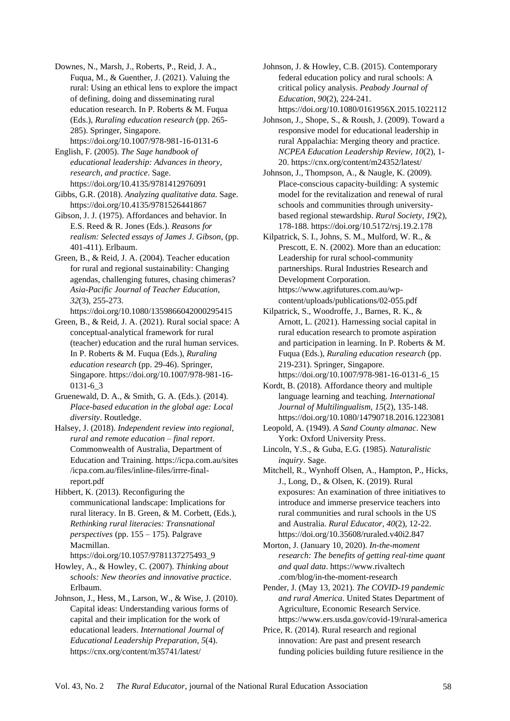Downes, N., Marsh, J., Roberts, P., Reid, J. A., Fuqua, M., & Guenther, J. (2021). Valuing the rural: Using an ethical lens to explore the impact of defining, doing and disseminating rural education research. In P. Roberts & M. Fuqua (Eds.), *Ruraling education research* (pp. 265- 285). Springer, Singapore. <https://doi.org/10.1007/978-981-16-0131-6>

English, F. (2005). *The Sage handbook of educational leadership: Advances in theory, research, and practice*. Sage. <https://doi.org/10.4135/9781412976091>

Gibbs, G.R. (2018). *Analyzing qualitative data.* Sage. <https://doi.org/10.4135/9781526441867>

Gibson, J. J. (1975). Affordances and behavior. In E.S. Reed & R. Jones (Eds.). *Reasons for realism: Selected essays of James J. Gibson*, (pp. 401-411). Erlbaum.

Green, B., & Reid, J. A. (2004). Teacher education for rural and regional sustainability: Changing agendas, challenging futures, chasing chimeras? *Asia-Pacific Journal of Teacher Education*, *32*(3), 255-273. <https://doi.org/10.1080/1359866042000295415>

Green, B., & Reid, J. A. (2021). Rural social space: A conceptual-analytical framework for rural (teacher) education and the rural human services. In P. Roberts & M. Fuqua (Eds.), *Ruraling education research* (pp. 29-46). Springer, Singapore. [https://doi.org/10.1007/978-981-16-](https://doi.org/10.1007/978-981-16-0131-6_3) [0131-6\\_3](https://doi.org/10.1007/978-981-16-0131-6_3)

Gruenewald, D. A., & Smith, G. A. (Eds.). (2014). *Place-based education in the global age: Local diversity*. Routledge.

Halsey, J. (2018). *Independent review into regional, rural and remote education – final report*. Commonwealth of Australia, Department of Education and Training. [https://icpa.com.au/sites](https://icpa.com.au/sites/icpa.com.au/files/inline-files/irrre-final-report.pdf) [/icpa.com.au/files/inline-files/irrre-final](https://icpa.com.au/sites/icpa.com.au/files/inline-files/irrre-final-report.pdf)[report.pdf](https://icpa.com.au/sites/icpa.com.au/files/inline-files/irrre-final-report.pdf)

Hibbert, K. (2013). Reconfiguring the communicational landscape: Implications for rural literacy. In B. Green, & M. Corbett, (Eds.), *Rethinking rural literacies: Transnational perspectives* (pp. 155 – 175). Palgrave Macmillan. [https://doi.org/10.1057/9781137275493\\_9](https://doi.org/10.1057/9781137275493_9)

Howley, A., & Howley, C. (2007). *Thinking about schools: New theories and innovative practice*. Erlbaum.

Johnson, J., Hess, M., Larson, W., & Wise, J. (2010). Capital ideas: Understanding various forms of capital and their implication for the work of educational leaders. *International Journal of Educational Leadership Preparation, 5*(4). <https://cnx.org/content/m35741/latest/>

Johnson, J. & Howley, C.B. (2015). Contemporary federal education policy and rural schools: A critical policy analysis. *Peabody Journal of Education, 90*(2), 224-241. <https://doi.org/10.1080/0161956X.2015.1022112>

Johnson, J., Shope, S., & Roush, J. (2009). Toward a responsive model for educational leadership in rural Appalachia: Merging theory and practice. *NCPEA Education Leadership Review, 10*(2), 1- 20. <https://cnx.org/content/m24352/latest/>

Johnson, J., Thompson, A., & Naugle, K. (2009). Place-conscious capacity-building: A systemic model for the revitalization and renewal of rural schools and communities through universitybased regional stewardship. *Rural Society*, *19*(2), 178-188. <https://doi.org/10.5172/rsj.19.2.178>

Kilpatrick, S. I., Johns, S. M., Mulford, W. R., & Prescott, E. N. (2002). More than an education: Leadership for rural school-community partnerships. Rural Industries Research and Development Corporation. [https://www.agrifutures.com.au/wp](https://www.agrifutures.com.au/wp-content/uploads/publications/02-055.pdf)[content/uploads/publications/02-055.pdf](https://www.agrifutures.com.au/wp-content/uploads/publications/02-055.pdf)

Kilpatrick, S., Woodroffe, J., Barnes, R. K., & Arnott, L. (2021). Harnessing social capital in rural education research to promote aspiration and participation in learning. In P. Roberts & M. Fuqua (Eds.), *Ruraling education research* (pp. 219-231). Springer, Singapore. [https://doi.org/10.1007/978-981-16-0131-6\\_15](https://doi.org/10.1007/978-981-16-0131-6_15)

Kordt, B. (2018). Affordance theory and multiple language learning and teaching. *International Journal of Multilingualism, 15*(2), 135-148. <https://doi.org/10.1080/14790718.2016.1223081>

Leopold, A. (1949). *A Sand County almanac*. New York: Oxford University Press.

Lincoln, Y.S., & Guba, E.G. (1985). *Naturalistic inquiry*. Sage.

Mitchell, R., Wynhoff Olsen, A., Hampton, P., Hicks, J., Long, D., & Olsen, K. (2019). Rural exposures: An examination of three initiatives to introduce and immerse preservice teachers into rural communities and rural schools in the US and Australia. *Rural Educator*, *40*(2), 12-22. <https://doi.org/10.35608/ruraled.v40i2.847>

Morton, J. (January 10, 2020). *In-the-moment research: The benefits of getting real-time quant and qual data*. [https://www.rivaltech](https://www.rivaltech.com/blog/in-the-moment-research) [.com/blog/in-the-moment-research](https://www.rivaltech.com/blog/in-the-moment-research)

Pender, J. (May 13, 2021). *The COVID-19 pandemic and rural America*. United States Department of Agriculture, Economic Research Service. <https://www.ers.usda.gov/covid-19/rural-america>

Price, R. (2014). Rural research and regional innovation: Are past and present research funding policies building future resilience in the